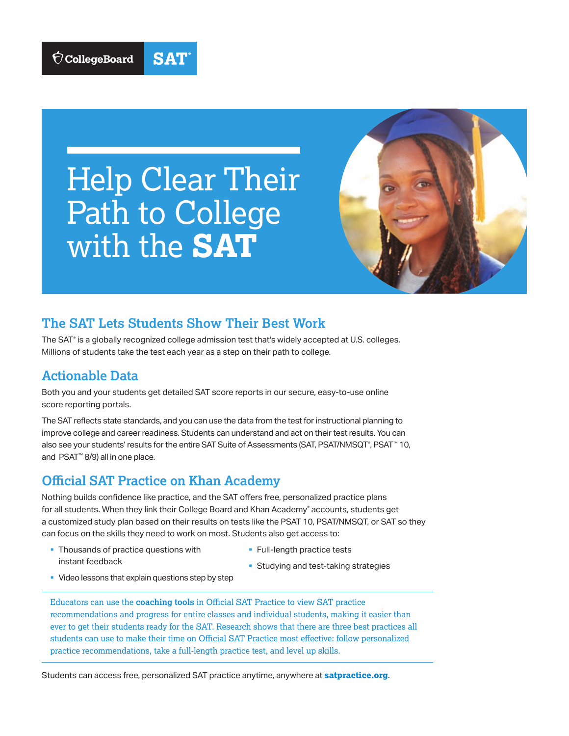

**SAT** 



### **The SAT Lets Students Show Their Best Work**

The SAT® is a globally recognized college admission test that's widely accepted at U.S. colleges. Millions of students take the test each year as a step on their path to college.

#### **Actionable Data**

Both you and your students get detailed SAT score reports in our secure, easy-to-use online score reporting portals.

The SAT reflects state standards, and you can use the data from the test for instructional planning to improve college and career readiness. Students can understand and act on their test results. You can also see your students' results for the entire SAT Suite of Assessments (SAT, PSAT/NMSQT°, PSAT™ 10, and PSAT™ 8/9) all in one place.

#### **Official SAT Practice on Khan Academy**

Nothing builds confidence like practice, and the SAT offers free, personalized practice plans for all students. When they link their College Board and Khan Academy® accounts, students get a customized study plan based on their results on tests like the PSAT 10, PSAT/NMSQT, or SAT so they can focus on the skills they need to work on most. Students also get access to:

- Thousands of practice questions with instant feedback
- § Full-length practice tests
- Studying and test-taking strategies
- Video lessons that explain questions step by step

Educators can use the **coaching tools** in Official SAT Practice to view SAT practice recommendations and progress for entire classes and individual students, making it easier than ever to get their students ready for the SAT. Research shows that there are three best practices all students can use to make their time on Official SAT Practice most effective: follow personalized practice recommendations, take a full-length practice test, and level up skills.

Students can access free, personalized SAT practice anytime, anywhere at **[satpractice.org](http://satpractice.org)**.